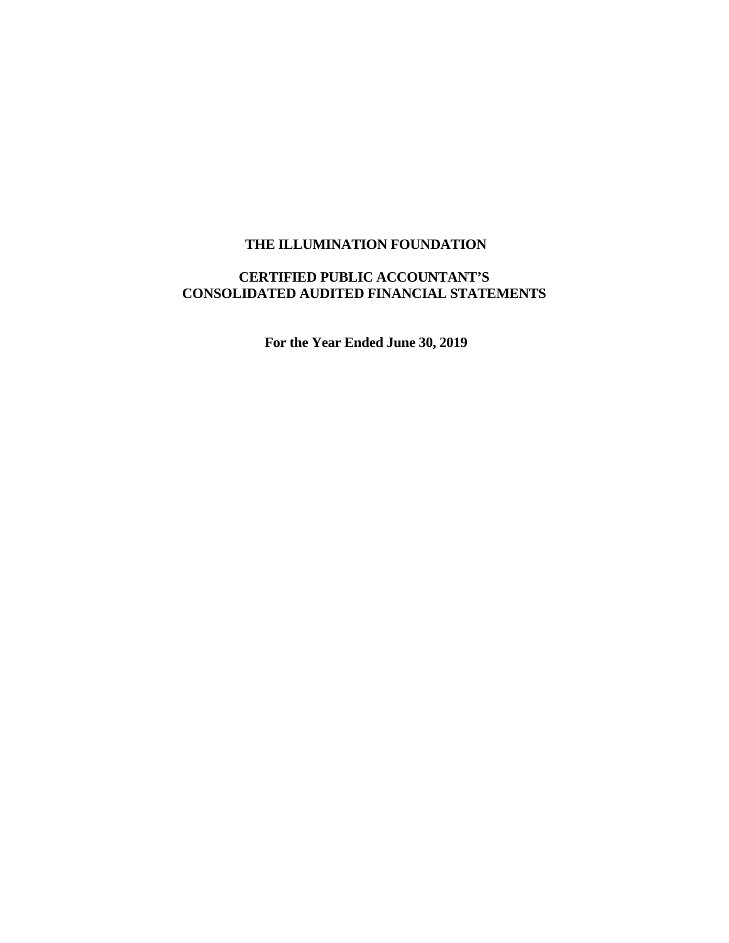# **CERTIFIED PUBLIC ACCOUNTANT'S CONSOLIDATED AUDITED FINANCIAL STATEMENTS**

**For the Year Ended June 30, 2019**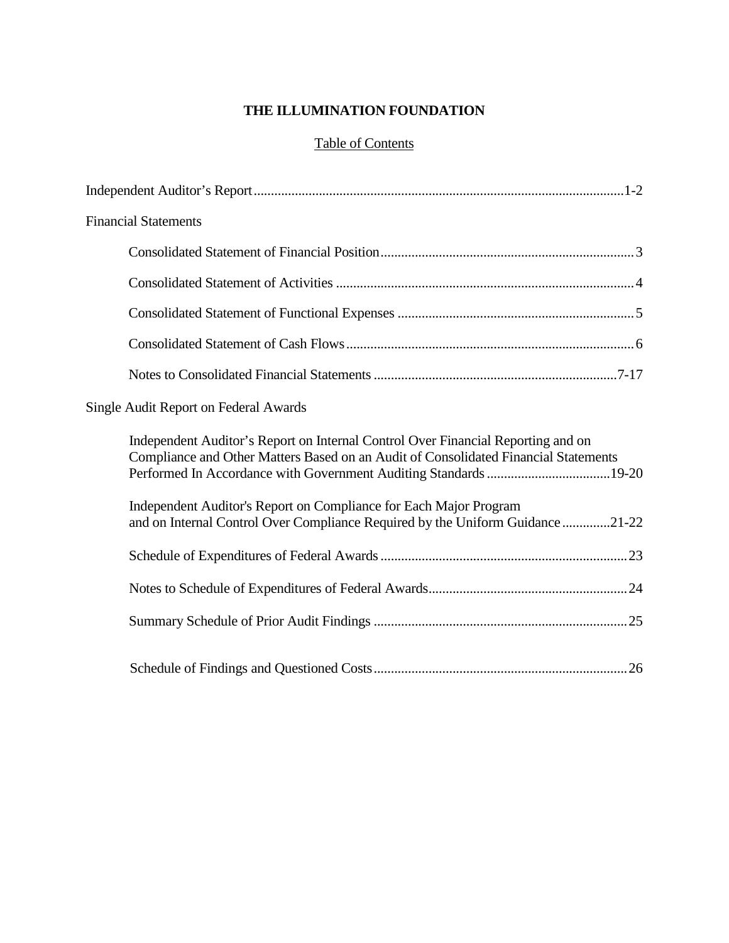## Table of Contents

| <b>Financial Statements</b>                                                                                                                                             |
|-------------------------------------------------------------------------------------------------------------------------------------------------------------------------|
|                                                                                                                                                                         |
|                                                                                                                                                                         |
|                                                                                                                                                                         |
|                                                                                                                                                                         |
|                                                                                                                                                                         |
| Single Audit Report on Federal Awards                                                                                                                                   |
| Independent Auditor's Report on Internal Control Over Financial Reporting and on<br>Compliance and Other Matters Based on an Audit of Consolidated Financial Statements |
| Independent Auditor's Report on Compliance for Each Major Program<br>and on Internal Control Over Compliance Required by the Uniform Guidance 21-22                     |
|                                                                                                                                                                         |
|                                                                                                                                                                         |
|                                                                                                                                                                         |
|                                                                                                                                                                         |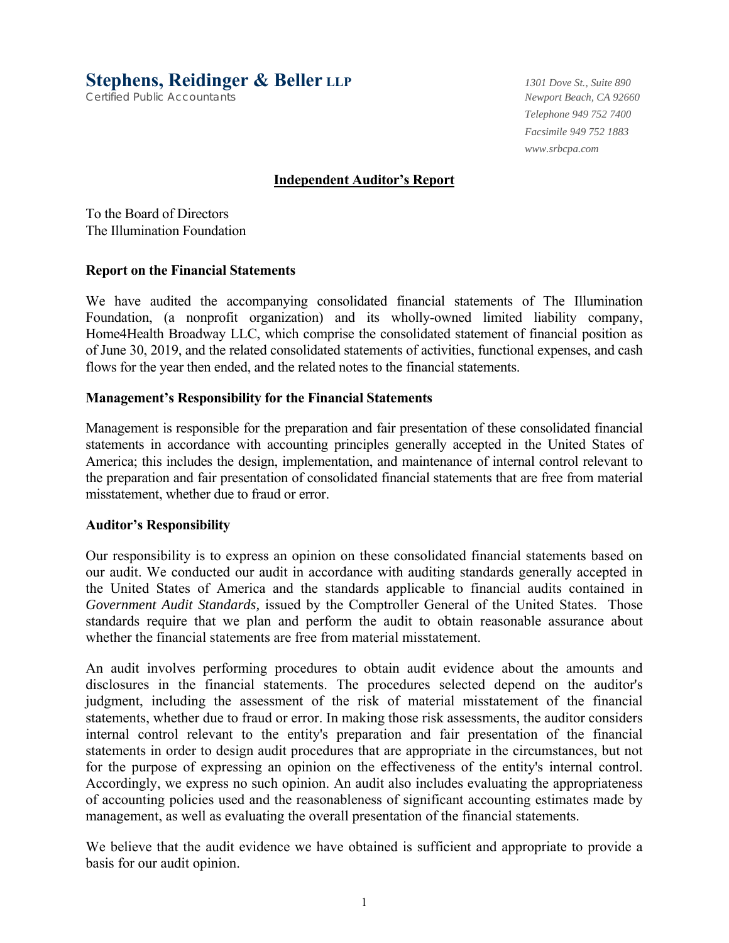**Stephens, Reidinger & Beller LLP** *1301 Dove St., Suite 890*

Certified Public Accountants *Newport Beach, CA 92660*

*Telephone 949 752 7400 Facsimile 949 752 1883 www.srbcpa.com* 

## **Independent Auditor's Report**

To the Board of Directors The Illumination Foundation

#### **Report on the Financial Statements**

We have audited the accompanying consolidated financial statements of The Illumination Foundation, (a nonprofit organization) and its wholly-owned limited liability company, Home4Health Broadway LLC, which comprise the consolidated statement of financial position as of June 30, 2019, and the related consolidated statements of activities, functional expenses, and cash flows for the year then ended, and the related notes to the financial statements.

## **Management's Responsibility for the Financial Statements**

Management is responsible for the preparation and fair presentation of these consolidated financial statements in accordance with accounting principles generally accepted in the United States of America; this includes the design, implementation, and maintenance of internal control relevant to the preparation and fair presentation of consolidated financial statements that are free from material misstatement, whether due to fraud or error.

#### **Auditor's Responsibility**

Our responsibility is to express an opinion on these consolidated financial statements based on our audit. We conducted our audit in accordance with auditing standards generally accepted in the United States of America and the standards applicable to financial audits contained in *Government Audit Standards,* issued by the Comptroller General of the United States. Those standards require that we plan and perform the audit to obtain reasonable assurance about whether the financial statements are free from material misstatement.

An audit involves performing procedures to obtain audit evidence about the amounts and disclosures in the financial statements. The procedures selected depend on the auditor's judgment, including the assessment of the risk of material misstatement of the financial statements, whether due to fraud or error. In making those risk assessments, the auditor considers internal control relevant to the entity's preparation and fair presentation of the financial statements in order to design audit procedures that are appropriate in the circumstances, but not for the purpose of expressing an opinion on the effectiveness of the entity's internal control. Accordingly, we express no such opinion. An audit also includes evaluating the appropriateness of accounting policies used and the reasonableness of significant accounting estimates made by management, as well as evaluating the overall presentation of the financial statements.

We believe that the audit evidence we have obtained is sufficient and appropriate to provide a basis for our audit opinion.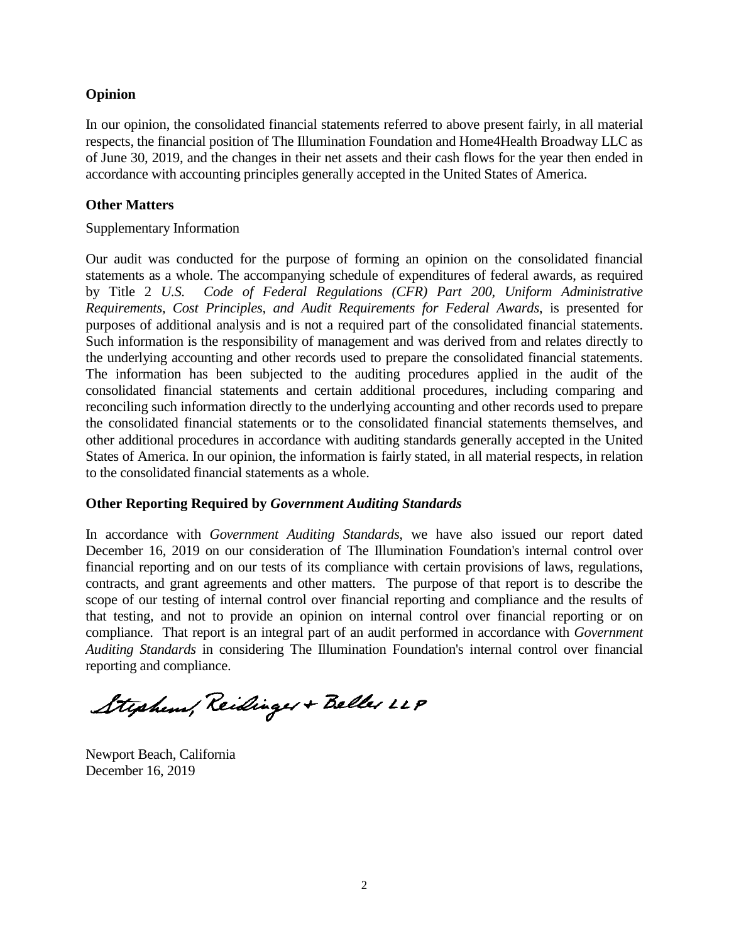## **Opinion**

In our opinion, the consolidated financial statements referred to above present fairly, in all material respects, the financial position of The Illumination Foundation and Home4Health Broadway LLC as of June 30, 2019, and the changes in their net assets and their cash flows for the year then ended in accordance with accounting principles generally accepted in the United States of America.

## **Other Matters**

#### Supplementary Information

Our audit was conducted for the purpose of forming an opinion on the consolidated financial statements as a whole. The accompanying schedule of expenditures of federal awards, as required by Title 2 *U.S. Code of Federal Regulations (CFR) Part 200, Uniform Administrative Requirements, Cost Principles, and Audit Requirements for Federal Awards*, is presented for purposes of additional analysis and is not a required part of the consolidated financial statements. Such information is the responsibility of management and was derived from and relates directly to the underlying accounting and other records used to prepare the consolidated financial statements. The information has been subjected to the auditing procedures applied in the audit of the consolidated financial statements and certain additional procedures, including comparing and reconciling such information directly to the underlying accounting and other records used to prepare the consolidated financial statements or to the consolidated financial statements themselves, and other additional procedures in accordance with auditing standards generally accepted in the United States of America. In our opinion, the information is fairly stated, in all material respects, in relation to the consolidated financial statements as a whole.

## **Other Reporting Required by** *Government Auditing Standards*

In accordance with *Government Auditing Standards*, we have also issued our report dated December 16, 2019 on our consideration of The Illumination Foundation's internal control over financial reporting and on our tests of its compliance with certain provisions of laws, regulations, contracts, and grant agreements and other matters. The purpose of that report is to describe the scope of our testing of internal control over financial reporting and compliance and the results of that testing, and not to provide an opinion on internal control over financial reporting or on compliance. That report is an integral part of an audit performed in accordance with *Government Auditing Standards* in considering The Illumination Foundation's internal control over financial reporting and compliance.

Stephens, Reidinger + Beller LLP

Newport Beach, California December 16, 2019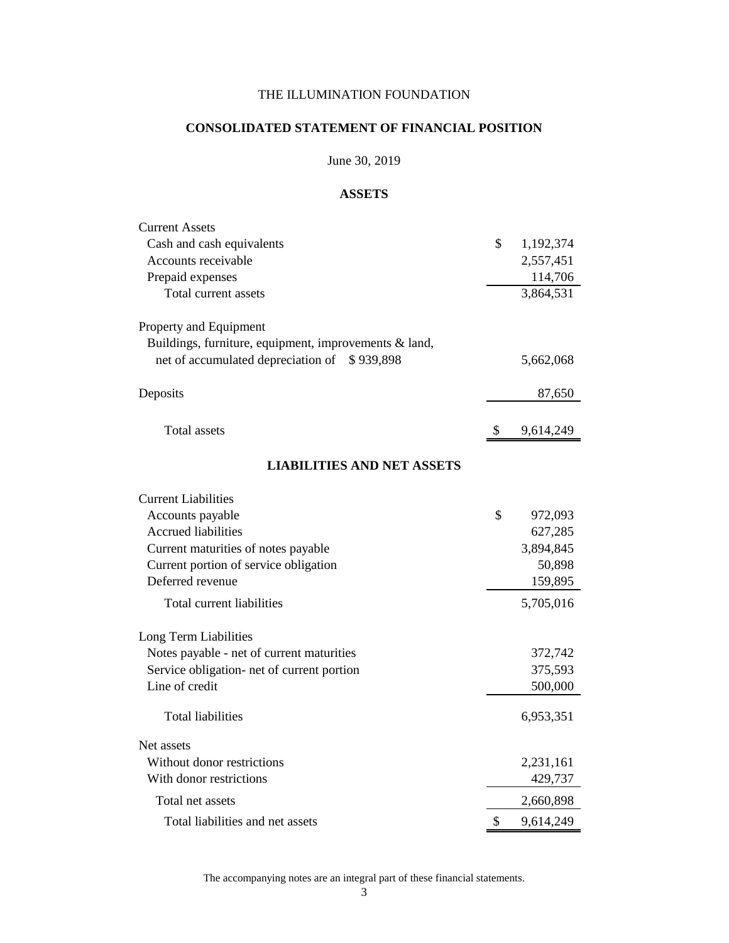## **CONSOLIDATED STATEMENT OF FINANCIAL POSITION**

## June 30, 2019

#### **ASSETS**

| <b>Current Assets</b>                                 |                 |
|-------------------------------------------------------|-----------------|
| Cash and cash equivalents                             | \$<br>1,192,374 |
| Accounts receivable                                   | 2,557,451       |
| Prepaid expenses                                      | 114,706         |
| Total current assets                                  | 3,864,531       |
| Property and Equipment                                |                 |
| Buildings, furniture, equipment, improvements & land, |                 |
| net of accumulated depreciation of<br>\$939,898       | 5,662,068       |
| Deposits                                              | 87,650          |
| <b>Total assets</b>                                   | \$<br>9,614,249 |
| <b>LIABILITIES AND NET ASSETS</b>                     |                 |
| <b>Current Liabilities</b>                            |                 |
| Accounts payable                                      | \$<br>972,093   |
| <b>Accrued liabilities</b>                            | 627,285         |
| Current maturities of notes payable                   | 3,894,845       |
| Current portion of service obligation                 | 50,898          |
| Deferred revenue                                      | 159,895         |
| Total current liabilities                             | 5,705,016       |
| Long Term Liabilities                                 |                 |
| Notes payable - net of current maturities             | 372,742         |
| Service obligation- net of current portion            | 375,593         |
| Line of credit                                        | 500,000         |
| Total liabilities                                     | 6,953,351       |
| Net assets                                            |                 |
| Without donor restrictions                            | 2,231,161       |
| With donor restrictions                               | 429,737         |
| Total net assets                                      | 2,660,898       |
| Total liabilities and net assets                      | \$<br>9,614,249 |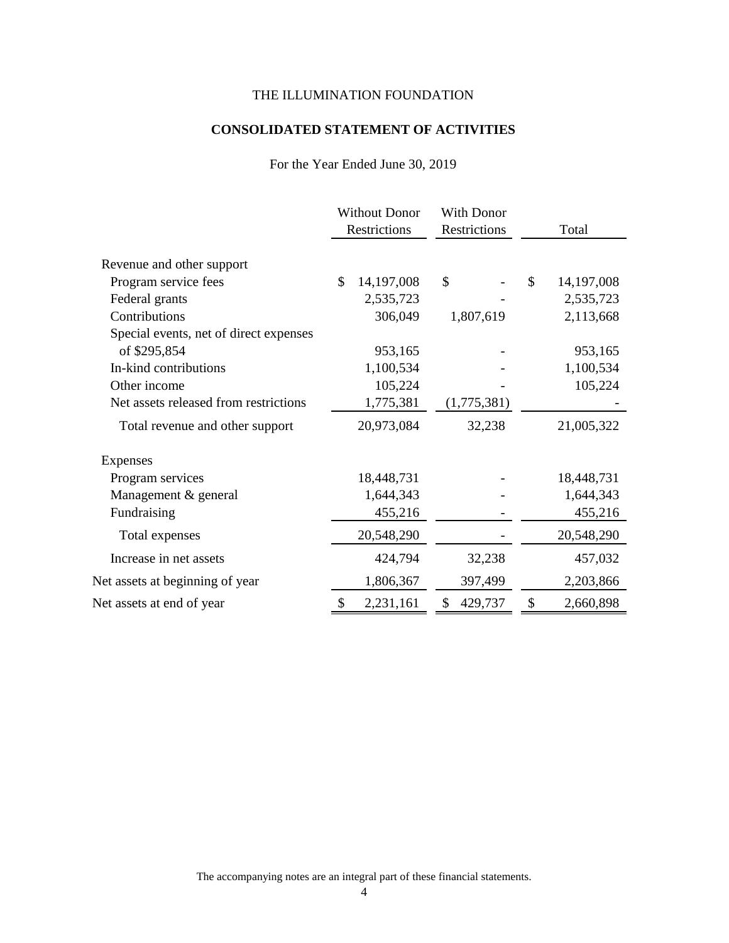## **CONSOLIDATED STATEMENT OF ACTIVITIES**

For the Year Ended June 30, 2019

|                                        | <b>Without Donor</b><br>Restrictions | With Donor<br>Restrictions | Total            |
|----------------------------------------|--------------------------------------|----------------------------|------------------|
| Revenue and other support              |                                      |                            |                  |
| Program service fees                   | \$<br>14,197,008                     | \$                         | \$<br>14,197,008 |
| Federal grants                         | 2,535,723                            |                            | 2,535,723        |
| Contributions                          | 306,049                              | 1,807,619                  | 2,113,668        |
| Special events, net of direct expenses |                                      |                            |                  |
| of \$295,854                           | 953,165                              |                            | 953,165          |
| In-kind contributions                  | 1,100,534                            |                            | 1,100,534        |
| Other income                           | 105,224                              |                            | 105,224          |
| Net assets released from restrictions  | 1,775,381                            | (1,775,381)                |                  |
| Total revenue and other support        | 20,973,084                           | 32,238                     | 21,005,322       |
| <b>Expenses</b>                        |                                      |                            |                  |
| Program services                       | 18,448,731                           |                            | 18,448,731       |
| Management & general                   | 1,644,343                            |                            | 1,644,343        |
| Fundraising                            | 455,216                              |                            | 455,216          |
| Total expenses                         | 20,548,290                           |                            | 20,548,290       |
| Increase in net assets                 | 424,794                              | 32,238                     | 457,032          |
| Net assets at beginning of year        | 1,806,367                            | 397,499                    | 2,203,866        |
| Net assets at end of year              | \$<br>2,231,161                      | \$<br>429,737              | \$<br>2,660,898  |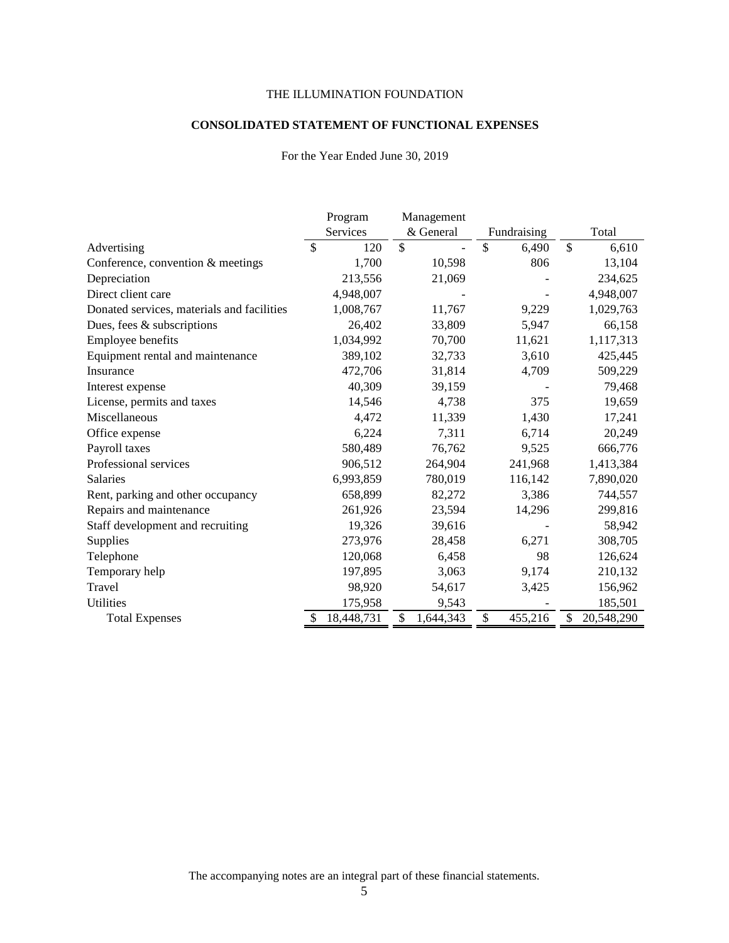#### **CONSOLIDATED STATEMENT OF FUNCTIONAL EXPENSES**

#### For the Year Ended June 30, 2019

|                                            | Program          | Management      |                       |                       |
|--------------------------------------------|------------------|-----------------|-----------------------|-----------------------|
|                                            | Services         | & General       | Fundraising           | Total                 |
| Advertising                                | \$<br>120        | \$              | $\mathbb{S}$<br>6,490 | $\mathbb{S}$<br>6,610 |
| Conference, convention & meetings          | 1,700            | 10,598          | 806                   | 13,104                |
| Depreciation                               | 213,556          | 21,069          |                       | 234,625               |
| Direct client care                         | 4,948,007        |                 |                       | 4,948,007             |
| Donated services, materials and facilities | 1,008,767        | 11,767          | 9,229                 | 1,029,763             |
| Dues, fees $\&$ subscriptions              | 26,402           | 33,809          | 5,947                 | 66,158                |
| Employee benefits                          | 1,034,992        | 70,700          | 11,621                | 1,117,313             |
| Equipment rental and maintenance           | 389,102          | 32,733          | 3,610                 | 425,445               |
| Insurance                                  | 472,706          | 31,814          | 4,709                 | 509,229               |
| Interest expense                           | 40,309           | 39,159          |                       | 79,468                |
| License, permits and taxes                 | 14,546           | 4,738           | 375                   | 19,659                |
| Miscellaneous                              | 4,472            | 11,339          | 1,430                 | 17,241                |
| Office expense                             | 6,224            | 7,311           | 6,714                 | 20,249                |
| Payroll taxes                              | 580,489          | 76,762          | 9,525                 | 666,776               |
| Professional services                      | 906,512          | 264,904         | 241,968               | 1,413,384             |
| <b>Salaries</b>                            | 6,993,859        | 780,019         | 116,142               | 7,890,020             |
| Rent, parking and other occupancy          | 658,899          | 82,272          | 3,386                 | 744,557               |
| Repairs and maintenance                    | 261,926          | 23,594          | 14,296                | 299,816               |
| Staff development and recruiting           | 19,326           | 39,616          |                       | 58,942                |
| Supplies                                   | 273,976          | 28,458          | 6,271                 | 308,705               |
| Telephone                                  | 120,068          | 6,458           | 98                    | 126,624               |
| Temporary help                             | 197,895          | 3,063           | 9,174                 | 210,132               |
| Travel                                     | 98,920           | 54,617          | 3,425                 | 156,962               |
| <b>Utilities</b>                           | 175,958          | 9,543           |                       | 185,501               |
| <b>Total Expenses</b>                      | 18,448,731<br>\$ | \$<br>1,644,343 | \$<br>455,216         | 20,548,290<br>\$      |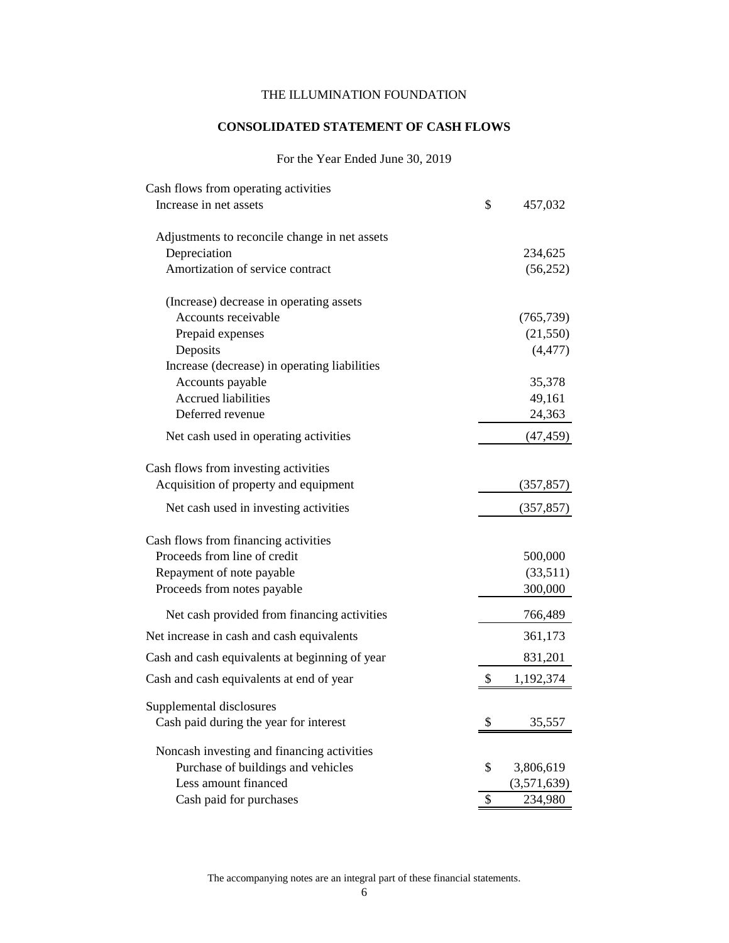## **CONSOLIDATED STATEMENT OF CASH FLOWS**

## For the Year Ended June 30, 2019

| Cash flows from operating activities           |    |             |
|------------------------------------------------|----|-------------|
| Increase in net assets                         | \$ | 457,032     |
| Adjustments to reconcile change in net assets  |    |             |
| Depreciation                                   |    | 234,625     |
| Amortization of service contract               |    | (56, 252)   |
| (Increase) decrease in operating assets        |    |             |
| Accounts receivable                            |    | (765, 739)  |
| Prepaid expenses                               |    | (21, 550)   |
| Deposits                                       |    | (4, 477)    |
| Increase (decrease) in operating liabilities   |    |             |
| Accounts payable                               |    | 35,378      |
| <b>Accrued liabilities</b>                     |    | 49,161      |
| Deferred revenue                               |    | 24,363      |
| Net cash used in operating activities          |    | (47, 459)   |
| Cash flows from investing activities           |    |             |
| Acquisition of property and equipment          |    | (357, 857)  |
| Net cash used in investing activities          |    | (357, 857)  |
| Cash flows from financing activities           |    |             |
| Proceeds from line of credit                   |    | 500,000     |
| Repayment of note payable                      |    | (33,511)    |
| Proceeds from notes payable                    |    | 300,000     |
| Net cash provided from financing activities    |    | 766,489     |
| Net increase in cash and cash equivalents      |    | 361,173     |
| Cash and cash equivalents at beginning of year |    | 831,201     |
| Cash and cash equivalents at end of year       | \$ | 1,192,374   |
| Supplemental disclosures                       |    |             |
| Cash paid during the year for interest         | Φ  | 35,557      |
| Noncash investing and financing activities     |    |             |
| Purchase of buildings and vehicles             | \$ | 3,806,619   |
| Less amount financed                           |    | (3,571,639) |
| Cash paid for purchases                        | \$ | 234,980     |
|                                                |    |             |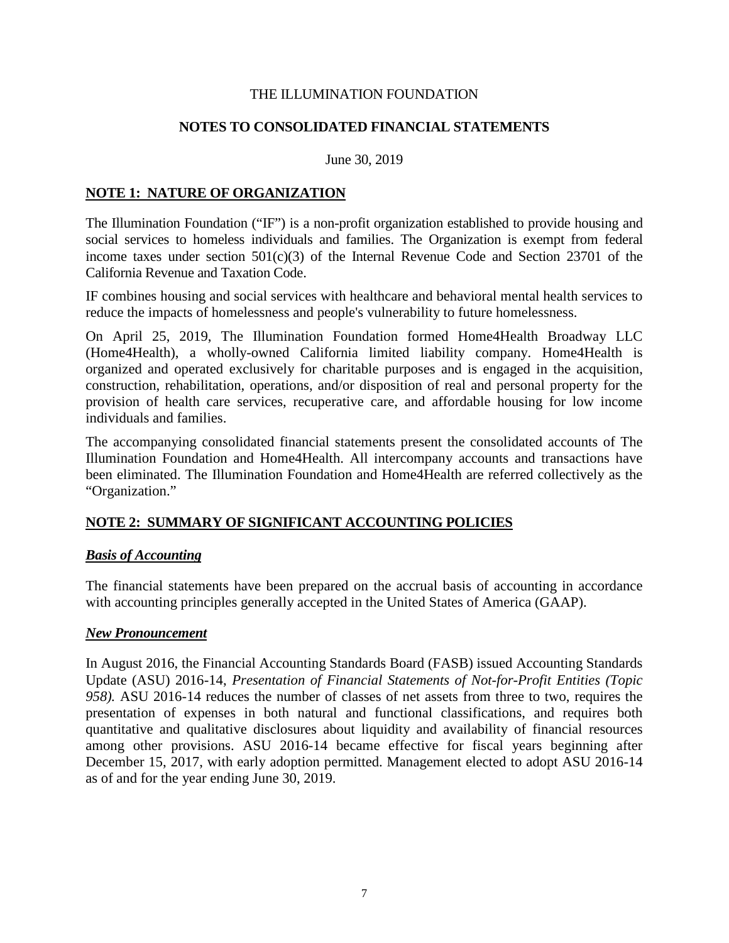## **NOTES TO CONSOLIDATED FINANCIAL STATEMENTS**

June 30, 2019

## **NOTE 1: NATURE OF ORGANIZATION**

The Illumination Foundation ("IF") is a non-profit organization established to provide housing and social services to homeless individuals and families. The Organization is exempt from federal income taxes under section  $501(c)(3)$  of the Internal Revenue Code and Section 23701 of the California Revenue and Taxation Code.

IF combines housing and social services with healthcare and behavioral mental health services to reduce the impacts of homelessness and people's vulnerability to future homelessness.

On April 25, 2019, The Illumination Foundation formed Home4Health Broadway LLC (Home4Health), a wholly-owned California limited liability company. Home4Health is organized and operated exclusively for charitable purposes and is engaged in the acquisition, construction, rehabilitation, operations, and/or disposition of real and personal property for the provision of health care services, recuperative care, and affordable housing for low income individuals and families.

The accompanying consolidated financial statements present the consolidated accounts of The Illumination Foundation and Home4Health. All intercompany accounts and transactions have been eliminated. The Illumination Foundation and Home4Health are referred collectively as the "Organization."

## **NOTE 2: SUMMARY OF SIGNIFICANT ACCOUNTING POLICIES**

## *Basis of Accounting*

The financial statements have been prepared on the accrual basis of accounting in accordance with accounting principles generally accepted in the United States of America (GAAP).

#### *New Pronouncement*

In August 2016, the Financial Accounting Standards Board (FASB) issued Accounting Standards Update (ASU) 2016-14, *Presentation of Financial Statements of Not-for-Profit Entities (Topic 958).* ASU 2016-14 reduces the number of classes of net assets from three to two, requires the presentation of expenses in both natural and functional classifications, and requires both quantitative and qualitative disclosures about liquidity and availability of financial resources among other provisions. ASU 2016-14 became effective for fiscal years beginning after December 15, 2017, with early adoption permitted. Management elected to adopt ASU 2016-14 as of and for the year ending June 30, 2019.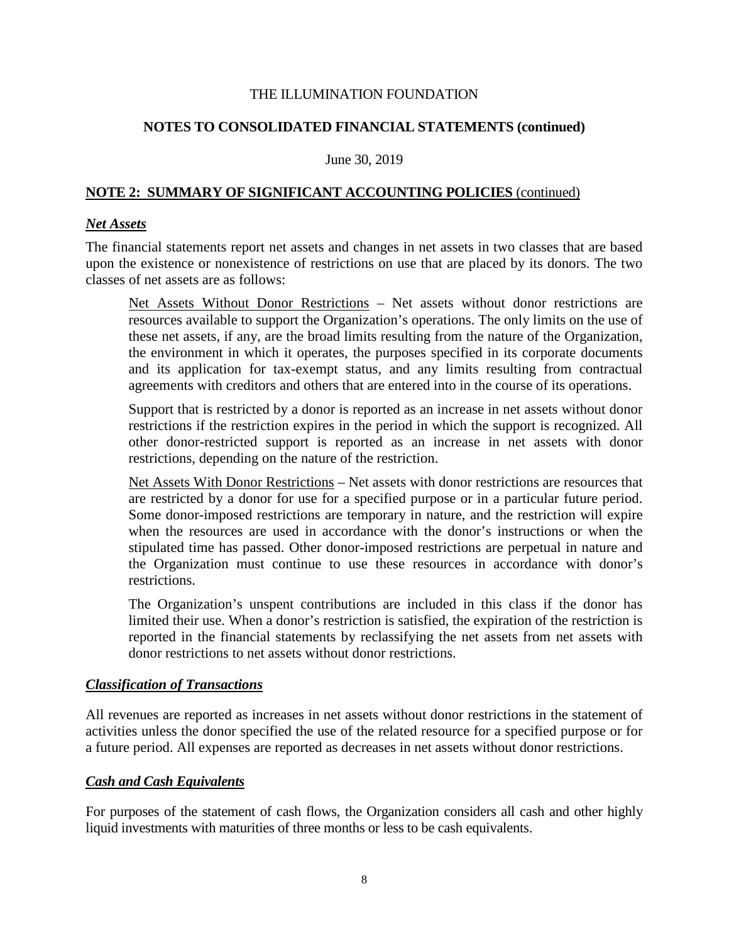## **NOTES TO CONSOLIDATED FINANCIAL STATEMENTS (continued)**

#### June 30, 2019

## **NOTE 2: SUMMARY OF SIGNIFICANT ACCOUNTING POLICIES** (continued)

#### *Net Assets*

The financial statements report net assets and changes in net assets in two classes that are based upon the existence or nonexistence of restrictions on use that are placed by its donors. The two classes of net assets are as follows:

Net Assets Without Donor Restrictions – Net assets without donor restrictions are resources available to support the Organization's operations. The only limits on the use of these net assets, if any, are the broad limits resulting from the nature of the Organization, the environment in which it operates, the purposes specified in its corporate documents and its application for tax-exempt status, and any limits resulting from contractual agreements with creditors and others that are entered into in the course of its operations.

Support that is restricted by a donor is reported as an increase in net assets without donor restrictions if the restriction expires in the period in which the support is recognized. All other donor-restricted support is reported as an increase in net assets with donor restrictions, depending on the nature of the restriction.

Net Assets With Donor Restrictions – Net assets with donor restrictions are resources that are restricted by a donor for use for a specified purpose or in a particular future period. Some donor-imposed restrictions are temporary in nature, and the restriction will expire when the resources are used in accordance with the donor's instructions or when the stipulated time has passed. Other donor-imposed restrictions are perpetual in nature and the Organization must continue to use these resources in accordance with donor's restrictions.

The Organization's unspent contributions are included in this class if the donor has limited their use. When a donor's restriction is satisfied, the expiration of the restriction is reported in the financial statements by reclassifying the net assets from net assets with donor restrictions to net assets without donor restrictions.

#### *Classification of Transactions*

All revenues are reported as increases in net assets without donor restrictions in the statement of activities unless the donor specified the use of the related resource for a specified purpose or for a future period. All expenses are reported as decreases in net assets without donor restrictions.

## *Cash and Cash Equivalents*

For purposes of the statement of cash flows, the Organization considers all cash and other highly liquid investments with maturities of three months or less to be cash equivalents.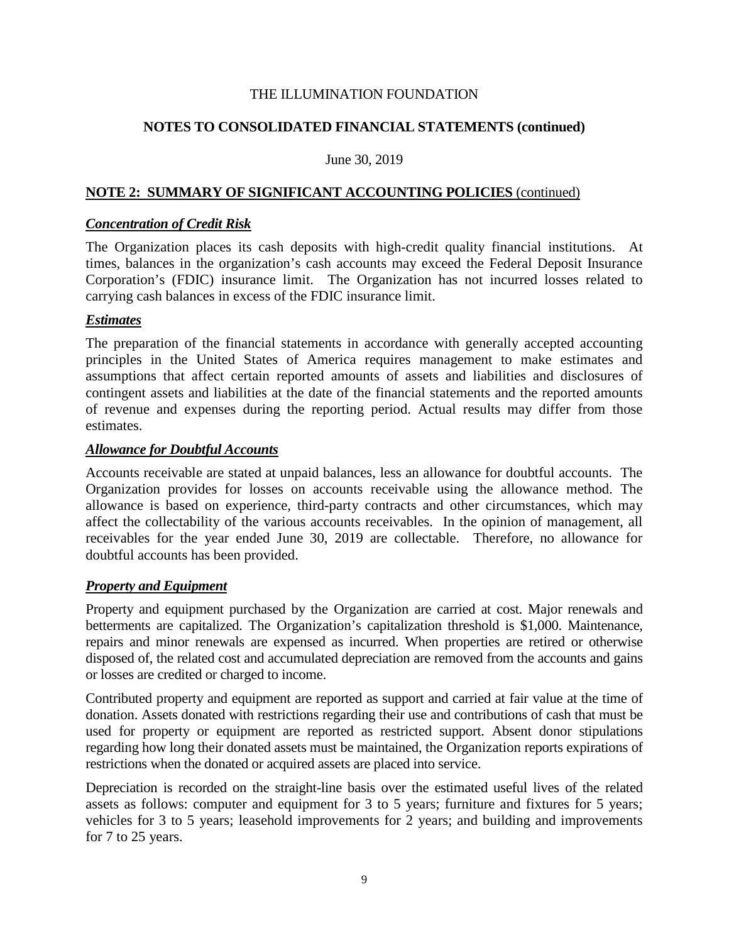## **NOTES TO CONSOLIDATED FINANCIAL STATEMENTS (continued)**

#### June 30, 2019

## **NOTE 2: SUMMARY OF SIGNIFICANT ACCOUNTING POLICIES** (continued)

#### *Concentration of Credit Risk*

The Organization places its cash deposits with high-credit quality financial institutions. At times, balances in the organization's cash accounts may exceed the Federal Deposit Insurance Corporation's (FDIC) insurance limit. The Organization has not incurred losses related to carrying cash balances in excess of the FDIC insurance limit.

## *Estimates*

The preparation of the financial statements in accordance with generally accepted accounting principles in the United States of America requires management to make estimates and assumptions that affect certain reported amounts of assets and liabilities and disclosures of contingent assets and liabilities at the date of the financial statements and the reported amounts of revenue and expenses during the reporting period. Actual results may differ from those estimates.

#### *Allowance for Doubtful Accounts*

Accounts receivable are stated at unpaid balances, less an allowance for doubtful accounts. The Organization provides for losses on accounts receivable using the allowance method. The allowance is based on experience, third-party contracts and other circumstances, which may affect the collectability of the various accounts receivables. In the opinion of management, all receivables for the year ended June 30, 2019 are collectable. Therefore, no allowance for doubtful accounts has been provided.

## *Property and Equipment*

Property and equipment purchased by the Organization are carried at cost. Major renewals and betterments are capitalized. The Organization's capitalization threshold is \$1,000. Maintenance, repairs and minor renewals are expensed as incurred. When properties are retired or otherwise disposed of, the related cost and accumulated depreciation are removed from the accounts and gains or losses are credited or charged to income.

Contributed property and equipment are reported as support and carried at fair value at the time of donation. Assets donated with restrictions regarding their use and contributions of cash that must be used for property or equipment are reported as restricted support. Absent donor stipulations regarding how long their donated assets must be maintained, the Organization reports expirations of restrictions when the donated or acquired assets are placed into service.

Depreciation is recorded on the straight-line basis over the estimated useful lives of the related assets as follows: computer and equipment for 3 to 5 years; furniture and fixtures for 5 years; vehicles for 3 to 5 years; leasehold improvements for 2 years; and building and improvements for 7 to 25 years.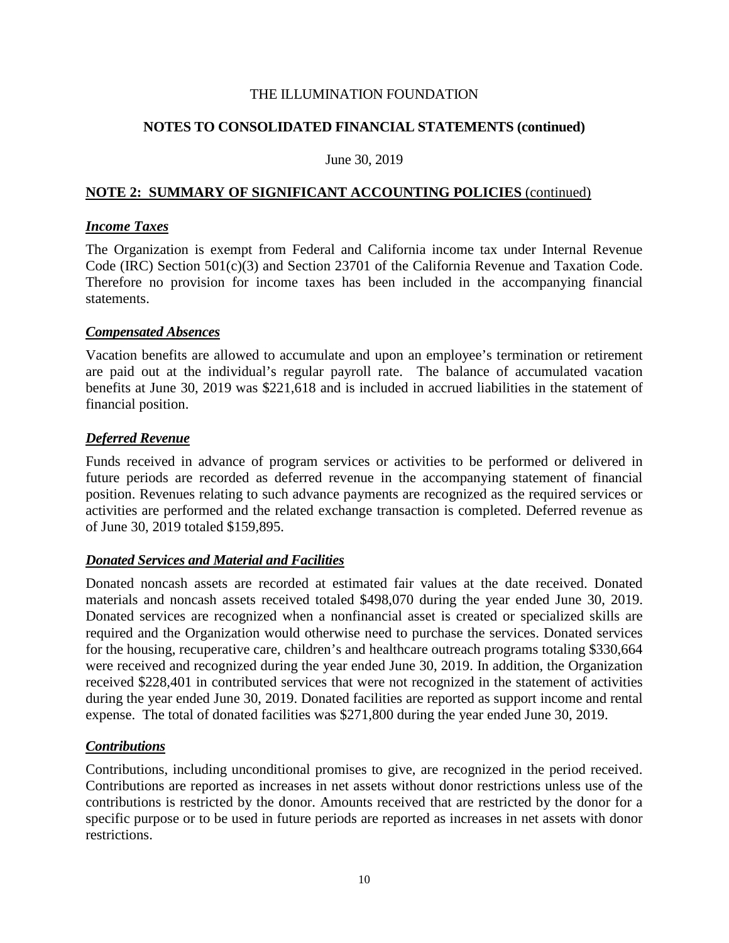## **NOTES TO CONSOLIDATED FINANCIAL STATEMENTS (continued)**

#### June 30, 2019

## **NOTE 2: SUMMARY OF SIGNIFICANT ACCOUNTING POLICIES** (continued)

#### *Income Taxes*

The Organization is exempt from Federal and California income tax under Internal Revenue Code (IRC) Section 501(c)(3) and Section 23701 of the California Revenue and Taxation Code. Therefore no provision for income taxes has been included in the accompanying financial statements.

#### *Compensated Absences*

Vacation benefits are allowed to accumulate and upon an employee's termination or retirement are paid out at the individual's regular payroll rate. The balance of accumulated vacation benefits at June 30, 2019 was \$221,618 and is included in accrued liabilities in the statement of financial position.

## *Deferred Revenue*

Funds received in advance of program services or activities to be performed or delivered in future periods are recorded as deferred revenue in the accompanying statement of financial position. Revenues relating to such advance payments are recognized as the required services or activities are performed and the related exchange transaction is completed. Deferred revenue as of June 30, 2019 totaled \$159,895.

## *Donated Services and Material and Facilities*

Donated noncash assets are recorded at estimated fair values at the date received. Donated materials and noncash assets received totaled \$498,070 during the year ended June 30, 2019. Donated services are recognized when a nonfinancial asset is created or specialized skills are required and the Organization would otherwise need to purchase the services. Donated services for the housing, recuperative care, children's and healthcare outreach programs totaling \$330,664 were received and recognized during the year ended June 30, 2019. In addition, the Organization received \$228,401 in contributed services that were not recognized in the statement of activities during the year ended June 30, 2019. Donated facilities are reported as support income and rental expense. The total of donated facilities was \$271,800 during the year ended June 30, 2019.

## *Contributions*

Contributions, including unconditional promises to give, are recognized in the period received. Contributions are reported as increases in net assets without donor restrictions unless use of the contributions is restricted by the donor. Amounts received that are restricted by the donor for a specific purpose or to be used in future periods are reported as increases in net assets with donor restrictions.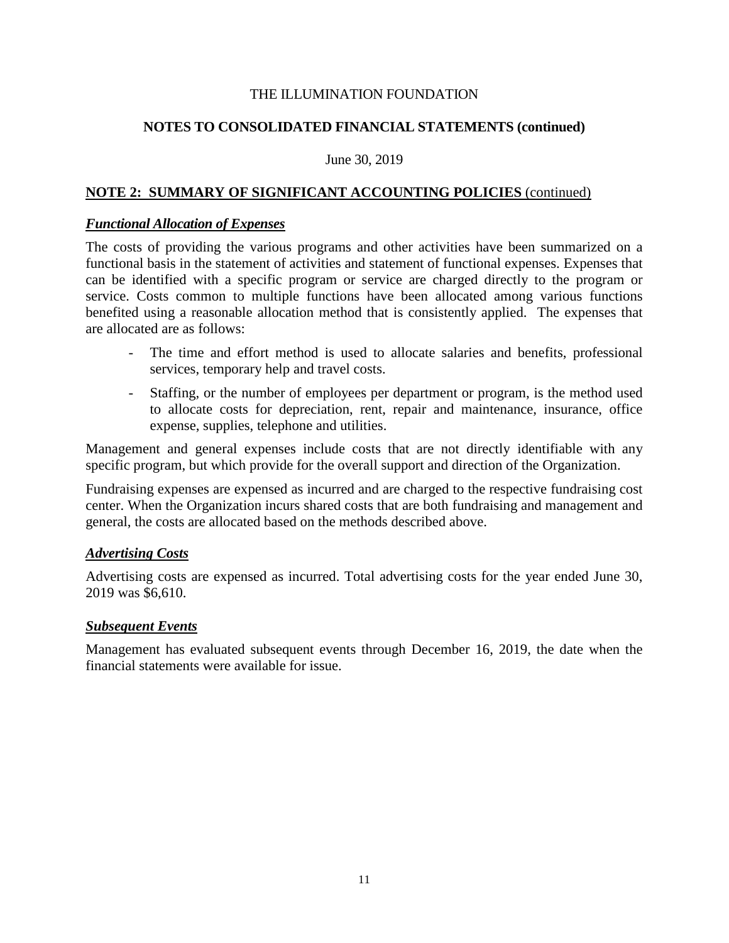## **NOTES TO CONSOLIDATED FINANCIAL STATEMENTS (continued)**

#### June 30, 2019

## **NOTE 2: SUMMARY OF SIGNIFICANT ACCOUNTING POLICIES** (continued)

#### *Functional Allocation of Expenses*

The costs of providing the various programs and other activities have been summarized on a functional basis in the statement of activities and statement of functional expenses. Expenses that can be identified with a specific program or service are charged directly to the program or service. Costs common to multiple functions have been allocated among various functions benefited using a reasonable allocation method that is consistently applied. The expenses that are allocated are as follows:

- The time and effort method is used to allocate salaries and benefits, professional services, temporary help and travel costs.
- Staffing, or the number of employees per department or program, is the method used to allocate costs for depreciation, rent, repair and maintenance, insurance, office expense, supplies, telephone and utilities.

Management and general expenses include costs that are not directly identifiable with any specific program, but which provide for the overall support and direction of the Organization.

Fundraising expenses are expensed as incurred and are charged to the respective fundraising cost center. When the Organization incurs shared costs that are both fundraising and management and general, the costs are allocated based on the methods described above.

## *Advertising Costs*

Advertising costs are expensed as incurred. Total advertising costs for the year ended June 30, 2019 was \$6,610.

#### *Subsequent Events*

Management has evaluated subsequent events through December 16, 2019, the date when the financial statements were available for issue.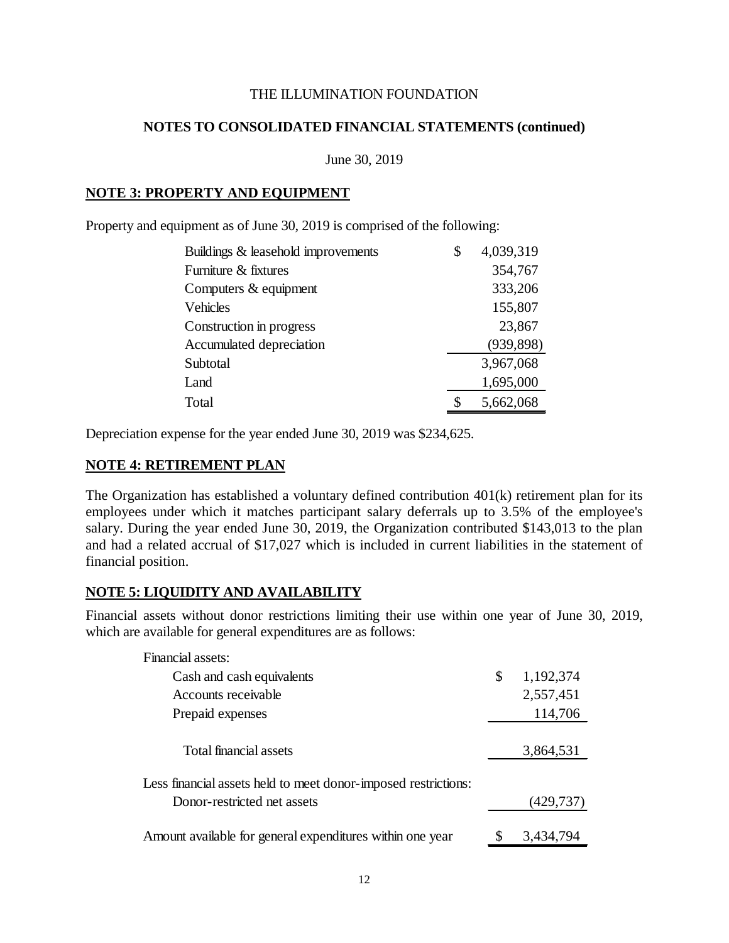## **NOTES TO CONSOLIDATED FINANCIAL STATEMENTS (continued)**

June 30, 2019

## **NOTE 3: PROPERTY AND EQUIPMENT**

Property and equipment as of June 30, 2019 is comprised of the following:

| Buildings & leasehold improvements | \$<br>4,039,319 |
|------------------------------------|-----------------|
| Furniture & fixtures               | 354,767         |
| Computers & equipment              | 333,206         |
| Vehicles                           | 155,807         |
| Construction in progress           | 23,867          |
| Accumulated depreciation           | (939, 898)      |
| Subtotal                           | 3,967,068       |
| Land                               | 1,695,000       |
| Total                              | 5,662,068       |

Depreciation expense for the year ended June 30, 2019 was \$234,625.

## **NOTE 4: RETIREMENT PLAN**

The Organization has established a voluntary defined contribution 401(k) retirement plan for its employees under which it matches participant salary deferrals up to 3.5% of the employee's salary. During the year ended June 30, 2019, the Organization contributed \$143,013 to the plan and had a related accrual of \$17,027 which is included in current liabilities in the statement of financial position.

## **NOTE 5: LIQUIDITY AND AVAILABILITY**

Financial assets without donor restrictions limiting their use within one year of June 30, 2019, which are available for general expenditures are as follows:

| Financial assets:                                                                             |                 |
|-----------------------------------------------------------------------------------------------|-----------------|
| Cash and cash equivalents                                                                     | \$<br>1,192,374 |
| Accounts receivable                                                                           | 2,557,451       |
| Prepaid expenses                                                                              | 114,706         |
| Total financial assets                                                                        | 3,864,531       |
| Less financial assets held to meet donor-imposed restrictions:<br>Donor-restricted net assets | (429, 737)      |
| Amount available for general expenditures within one year                                     | 3,434,794       |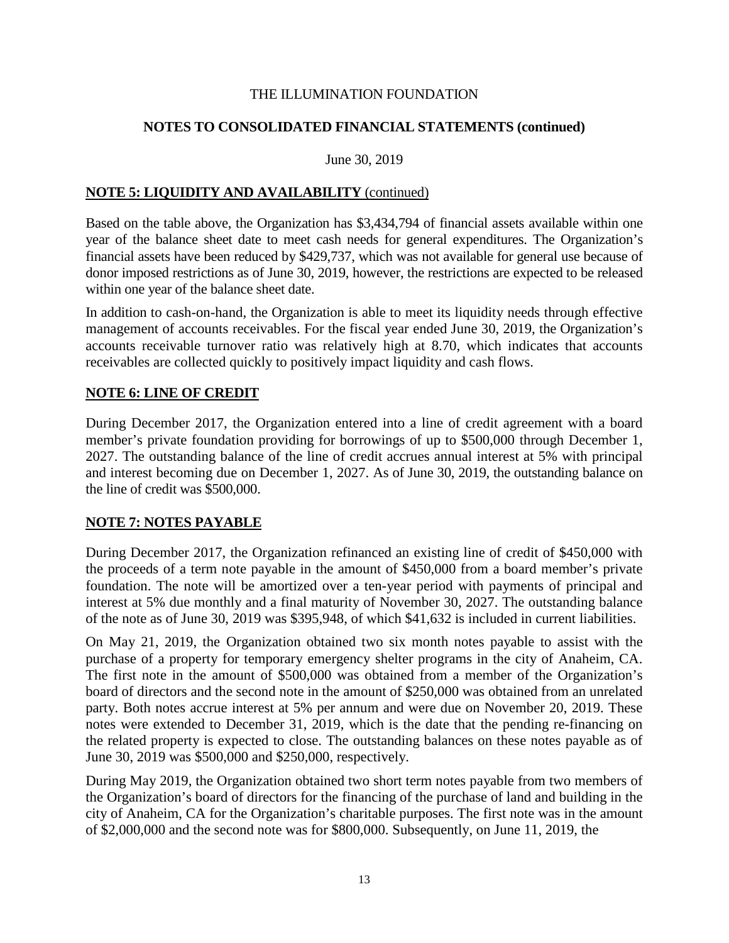## **NOTES TO CONSOLIDATED FINANCIAL STATEMENTS (continued)**

#### June 30, 2019

## **NOTE 5: LIQUIDITY AND AVAILABILITY** (continued)

Based on the table above, the Organization has \$3,434,794 of financial assets available within one year of the balance sheet date to meet cash needs for general expenditures. The Organization's financial assets have been reduced by \$429,737, which was not available for general use because of donor imposed restrictions as of June 30, 2019, however, the restrictions are expected to be released within one year of the balance sheet date.

In addition to cash-on-hand, the Organization is able to meet its liquidity needs through effective management of accounts receivables. For the fiscal year ended June 30, 2019, the Organization's accounts receivable turnover ratio was relatively high at 8.70, which indicates that accounts receivables are collected quickly to positively impact liquidity and cash flows.

## **NOTE 6: LINE OF CREDIT**

During December 2017, the Organization entered into a line of credit agreement with a board member's private foundation providing for borrowings of up to \$500,000 through December 1, 2027. The outstanding balance of the line of credit accrues annual interest at 5% with principal and interest becoming due on December 1, 2027. As of June 30, 2019, the outstanding balance on the line of credit was \$500,000.

## **NOTE 7: NOTES PAYABLE**

During December 2017, the Organization refinanced an existing line of credit of \$450,000 with the proceeds of a term note payable in the amount of \$450,000 from a board member's private foundation. The note will be amortized over a ten-year period with payments of principal and interest at 5% due monthly and a final maturity of November 30, 2027. The outstanding balance of the note as of June 30, 2019 was \$395,948, of which \$41,632 is included in current liabilities.

On May 21, 2019, the Organization obtained two six month notes payable to assist with the purchase of a property for temporary emergency shelter programs in the city of Anaheim, CA. The first note in the amount of \$500,000 was obtained from a member of the Organization's board of directors and the second note in the amount of \$250,000 was obtained from an unrelated party. Both notes accrue interest at 5% per annum and were due on November 20, 2019. These notes were extended to December 31, 2019, which is the date that the pending re-financing on the related property is expected to close. The outstanding balances on these notes payable as of June 30, 2019 was \$500,000 and \$250,000, respectively.

During May 2019, the Organization obtained two short term notes payable from two members of the Organization's board of directors for the financing of the purchase of land and building in the city of Anaheim, CA for the Organization's charitable purposes. The first note was in the amount of \$2,000,000 and the second note was for \$800,000. Subsequently, on June 11, 2019, the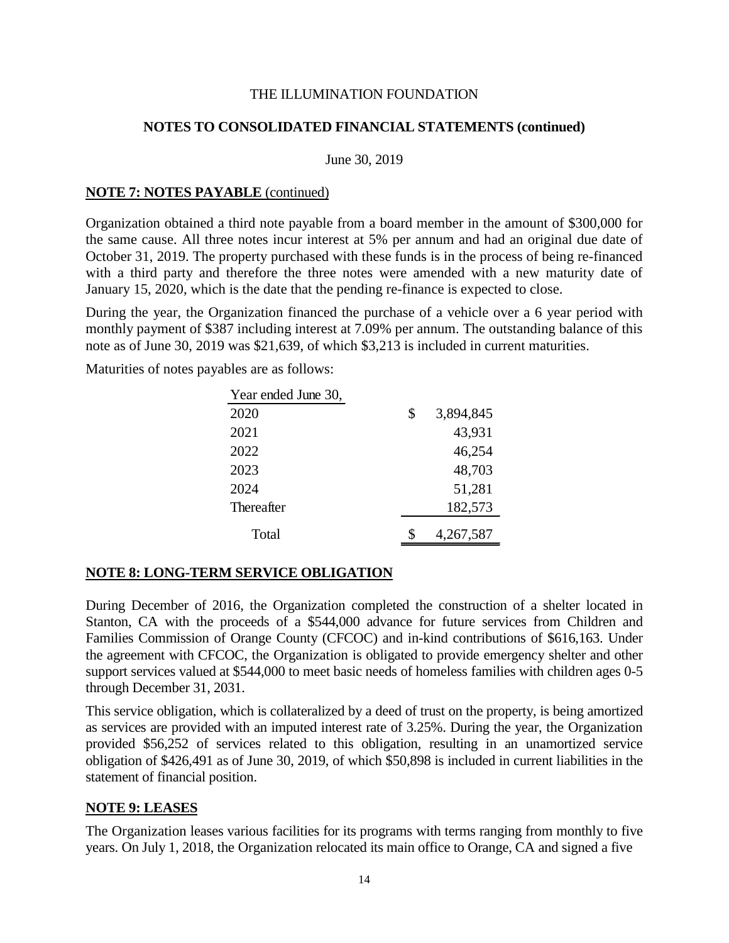## **NOTES TO CONSOLIDATED FINANCIAL STATEMENTS (continued)**

#### June 30, 2019

#### **NOTE 7: NOTES PAYABLE** (continued)

Organization obtained a third note payable from a board member in the amount of \$300,000 for the same cause. All three notes incur interest at 5% per annum and had an original due date of October 31, 2019. The property purchased with these funds is in the process of being re-financed with a third party and therefore the three notes were amended with a new maturity date of January 15, 2020, which is the date that the pending re-finance is expected to close.

During the year, the Organization financed the purchase of a vehicle over a 6 year period with monthly payment of \$387 including interest at 7.09% per annum. The outstanding balance of this note as of June 30, 2019 was \$21,639, of which \$3,213 is included in current maturities.

Maturities of notes payables are as follows:

| Year ended June 30, |                 |
|---------------------|-----------------|
| 2020                | \$<br>3,894,845 |
| 2021                | 43,931          |
| 2022                | 46,254          |
| 2023                | 48,703          |
| 2024                | 51,281          |
| Thereafter          | 182,573         |
| Total               | 4,267,587       |

## **NOTE 8: LONG-TERM SERVICE OBLIGATION**

During December of 2016, the Organization completed the construction of a shelter located in Stanton, CA with the proceeds of a \$544,000 advance for future services from Children and Families Commission of Orange County (CFCOC) and in-kind contributions of \$616,163. Under the agreement with CFCOC, the Organization is obligated to provide emergency shelter and other support services valued at \$544,000 to meet basic needs of homeless families with children ages 0-5 through December 31, 2031.

This service obligation, which is collateralized by a deed of trust on the property, is being amortized as services are provided with an imputed interest rate of 3.25%. During the year, the Organization provided \$56,252 of services related to this obligation, resulting in an unamortized service obligation of \$426,491 as of June 30, 2019, of which \$50,898 is included in current liabilities in the statement of financial position.

## **NOTE 9: LEASES**

The Organization leases various facilities for its programs with terms ranging from monthly to five years. On July 1, 2018, the Organization relocated its main office to Orange, CA and signed a five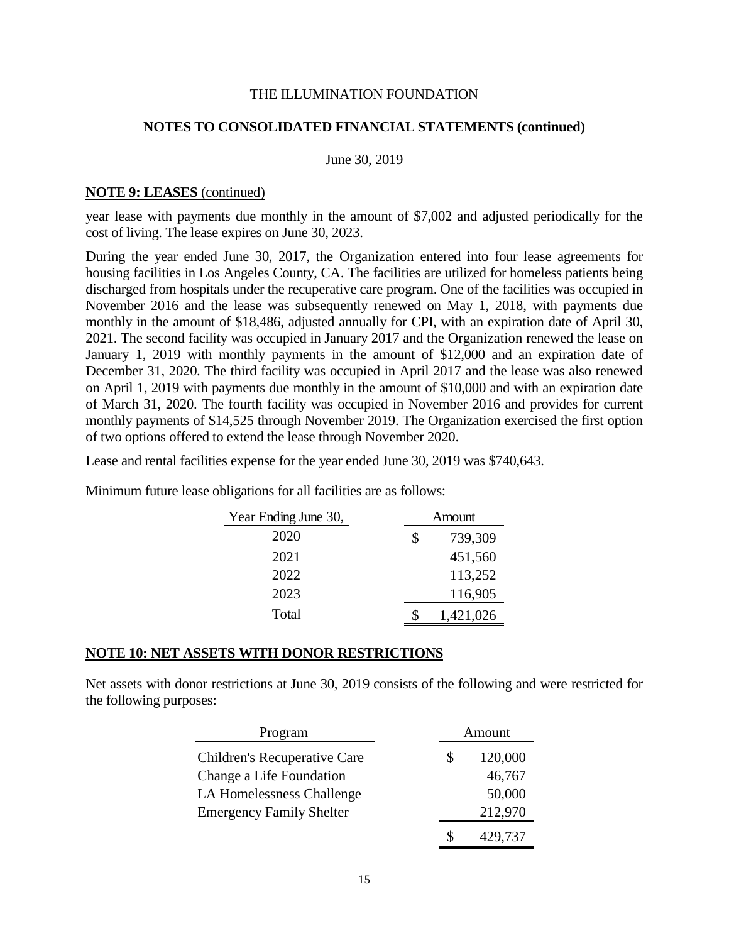#### **NOTES TO CONSOLIDATED FINANCIAL STATEMENTS (continued)**

June 30, 2019

#### **NOTE 9: LEASES** (continued)

year lease with payments due monthly in the amount of \$7,002 and adjusted periodically for the cost of living. The lease expires on June 30, 2023.

During the year ended June 30, 2017, the Organization entered into four lease agreements for housing facilities in Los Angeles County, CA. The facilities are utilized for homeless patients being discharged from hospitals under the recuperative care program. One of the facilities was occupied in November 2016 and the lease was subsequently renewed on May 1, 2018, with payments due monthly in the amount of \$18,486, adjusted annually for CPI, with an expiration date of April 30, 2021. The second facility was occupied in January 2017 and the Organization renewed the lease on January 1, 2019 with monthly payments in the amount of \$12,000 and an expiration date of December 31, 2020. The third facility was occupied in April 2017 and the lease was also renewed on April 1, 2019 with payments due monthly in the amount of \$10,000 and with an expiration date of March 31, 2020. The fourth facility was occupied in November 2016 and provides for current monthly payments of \$14,525 through November 2019. The Organization exercised the first option of two options offered to extend the lease through November 2020.

Lease and rental facilities expense for the year ended June 30, 2019 was \$740,643.

| Year Ending June 30, |   | Amount    |  |  |
|----------------------|---|-----------|--|--|
| 2020                 | S | 739,309   |  |  |
| 2021                 |   | 451,560   |  |  |
| 2022                 |   | 113,252   |  |  |
| 2023                 |   | 116,905   |  |  |
| Total                |   | 1,421,026 |  |  |

Minimum future lease obligations for all facilities are as follows:

#### **NOTE 10: NET ASSETS WITH DONOR RESTRICTIONS**

Net assets with donor restrictions at June 30, 2019 consists of the following and were restricted for the following purposes:

| Program                             | Amount |         |
|-------------------------------------|--------|---------|
| <b>Children's Recuperative Care</b> | S      | 120,000 |
| Change a Life Foundation            |        | 46,767  |
| <b>LA Homelessness Challenge</b>    |        | 50,000  |
| <b>Emergency Family Shelter</b>     |        | 212,970 |
|                                     | S      | 429,737 |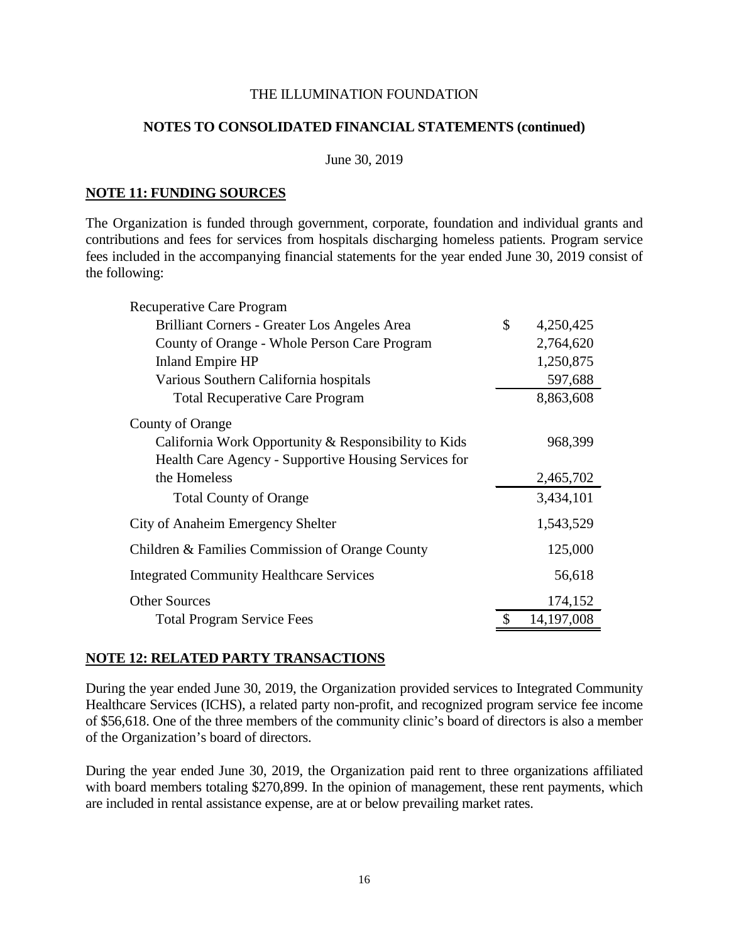#### **NOTES TO CONSOLIDATED FINANCIAL STATEMENTS (continued)**

#### June 30, 2019

#### **NOTE 11: FUNDING SOURCES**

The Organization is funded through government, corporate, foundation and individual grants and contributions and fees for services from hospitals discharging homeless patients. Program service fees included in the accompanying financial statements for the year ended June 30, 2019 consist of the following:

| Recuperative Care Program                            |                    |
|------------------------------------------------------|--------------------|
| Brilliant Corners - Greater Los Angeles Area         | \$<br>4,250,425    |
| County of Orange - Whole Person Care Program         | 2,764,620          |
| <b>Inland Empire HP</b>                              | 1,250,875          |
| Various Southern California hospitals                | 597,688            |
| <b>Total Recuperative Care Program</b>               | 8,863,608          |
| County of Orange                                     |                    |
| California Work Opportunity & Responsibility to Kids | 968,399            |
| Health Care Agency - Supportive Housing Services for |                    |
| the Homeless                                         | 2,465,702          |
| <b>Total County of Orange</b>                        | 3,434,101          |
| City of Anaheim Emergency Shelter                    | 1,543,529          |
| Children & Families Commission of Orange County      | 125,000            |
| <b>Integrated Community Healthcare Services</b>      | 56,618             |
| <b>Other Sources</b>                                 | 174,152            |
| <b>Total Program Service Fees</b>                    | \$<br>14, 197, 008 |

#### **NOTE 12: RELATED PARTY TRANSACTIONS**

During the year ended June 30, 2019, the Organization provided services to Integrated Community Healthcare Services (ICHS), a related party non-profit, and recognized program service fee income of \$56,618. One of the three members of the community clinic's board of directors is also a member of the Organization's board of directors.

During the year ended June 30, 2019, the Organization paid rent to three organizations affiliated with board members totaling \$270,899. In the opinion of management, these rent payments, which are included in rental assistance expense, are at or below prevailing market rates.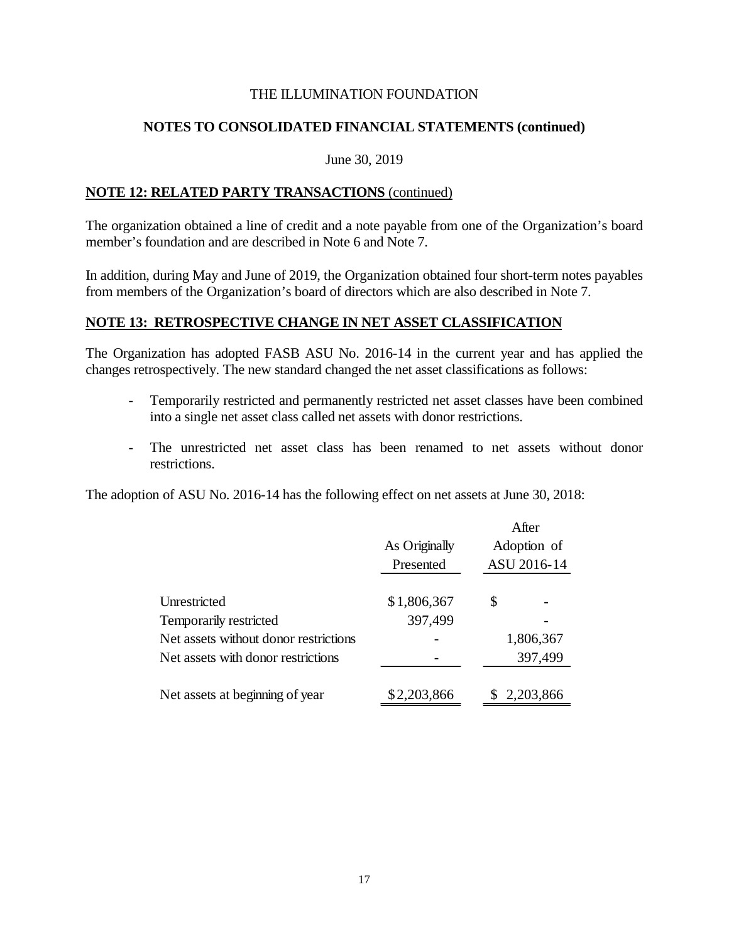## **NOTES TO CONSOLIDATED FINANCIAL STATEMENTS (continued)**

#### June 30, 2019

## **NOTE 12: RELATED PARTY TRANSACTIONS** (continued)

The organization obtained a line of credit and a note payable from one of the Organization's board member's foundation and are described in Note 6 and Note 7.

In addition, during May and June of 2019, the Organization obtained four short-term notes payables from members of the Organization's board of directors which are also described in Note 7.

## **NOTE 13: RETROSPECTIVE CHANGE IN NET ASSET CLASSIFICATION**

The Organization has adopted FASB ASU No. 2016-14 in the current year and has applied the changes retrospectively. The new standard changed the net asset classifications as follows:

- Temporarily restricted and permanently restricted net asset classes have been combined into a single net asset class called net assets with donor restrictions.
- The unrestricted net asset class has been renamed to net assets without donor restrictions.

The adoption of ASU No. 2016-14 has the following effect on net assets at June 30, 2018:

|                                       | As Originally<br>Presented | After<br>Adoption of<br>ASU 2016-14 |
|---------------------------------------|----------------------------|-------------------------------------|
|                                       |                            |                                     |
| Unrestricted                          | \$1,806,367                | \$                                  |
| Temporarily restricted                | 397,499                    |                                     |
| Net assets without donor restrictions |                            | 1,806,367                           |
| Net assets with donor restrictions    |                            | 397,499                             |
|                                       |                            |                                     |
| Net assets at beginning of year       | \$2,203,866                | 2,203,866                           |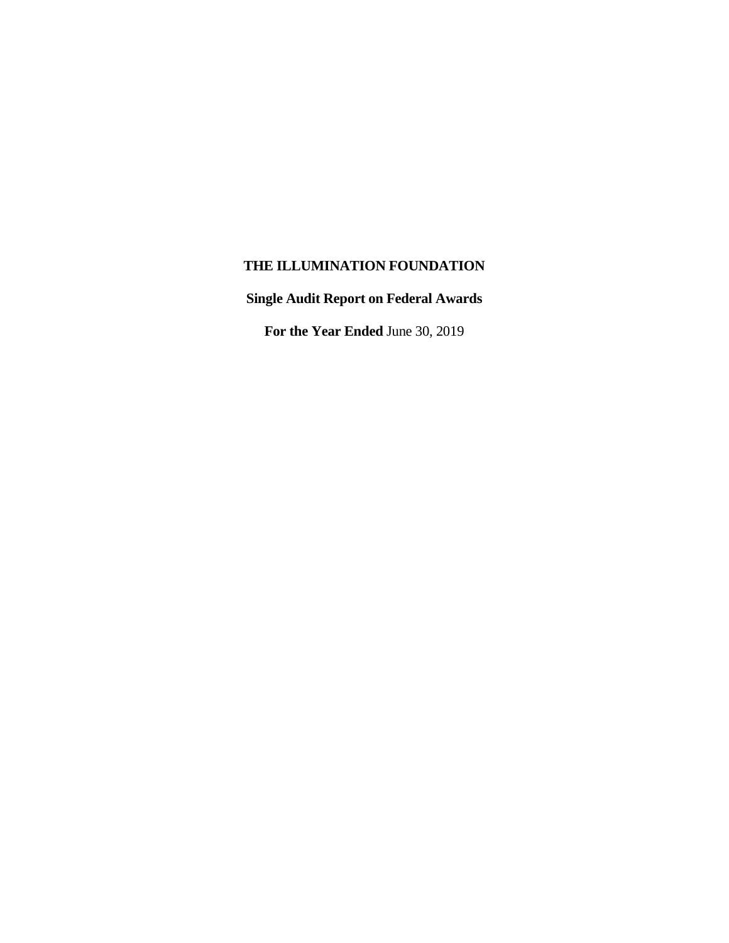**Single Audit Report on Federal Awards**

**For the Year Ended** June 30, 2019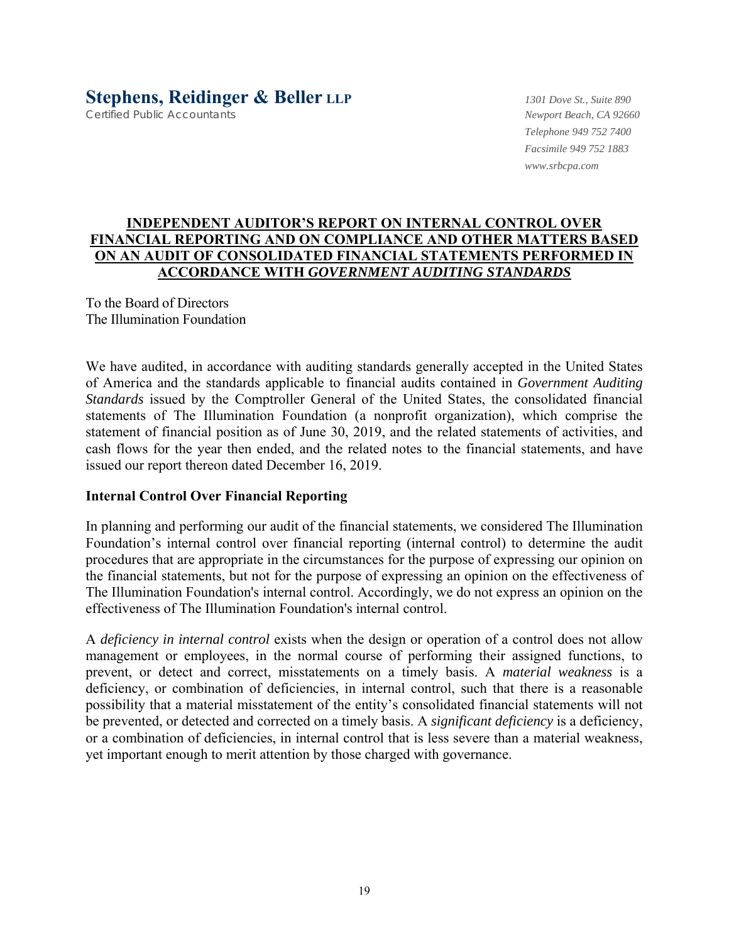# **Stephens, Reidinger & Beller LLP** *1301 Dove St., Suite 890*

Certified Public Accountants *Newport Beach, CA 92660*

*Telephone 949 752 7400 Facsimile 949 752 1883 www.srbcpa.com* 

## **INDEPENDENT AUDITOR'S REPORT ON INTERNAL CONTROL OVER FINANCIAL REPORTING AND ON COMPLIANCE AND OTHER MATTERS BASED ON AN AUDIT OF CONSOLIDATED FINANCIAL STATEMENTS PERFORMED IN ACCORDANCE WITH** *GOVERNMENT AUDITING STANDARDS*

To the Board of Directors The Illumination Foundation

We have audited, in accordance with auditing standards generally accepted in the United States of America and the standards applicable to financial audits contained in *Government Auditing Standards* issued by the Comptroller General of the United States, the consolidated financial statements of The Illumination Foundation (a nonprofit organization), which comprise the statement of financial position as of June 30, 2019, and the related statements of activities, and cash flows for the year then ended, and the related notes to the financial statements, and have issued our report thereon dated December 16, 2019.

## **Internal Control Over Financial Reporting**

In planning and performing our audit of the financial statements, we considered The Illumination Foundation's internal control over financial reporting (internal control) to determine the audit procedures that are appropriate in the circumstances for the purpose of expressing our opinion on the financial statements, but not for the purpose of expressing an opinion on the effectiveness of The Illumination Foundation's internal control. Accordingly, we do not express an opinion on the effectiveness of The Illumination Foundation's internal control.

A *deficiency in internal control* exists when the design or operation of a control does not allow management or employees, in the normal course of performing their assigned functions, to prevent, or detect and correct, misstatements on a timely basis. A *material weakness* is a deficiency, or combination of deficiencies, in internal control, such that there is a reasonable possibility that a material misstatement of the entity's consolidated financial statements will not be prevented, or detected and corrected on a timely basis. A *significant deficiency* is a deficiency, or a combination of deficiencies, in internal control that is less severe than a material weakness, yet important enough to merit attention by those charged with governance.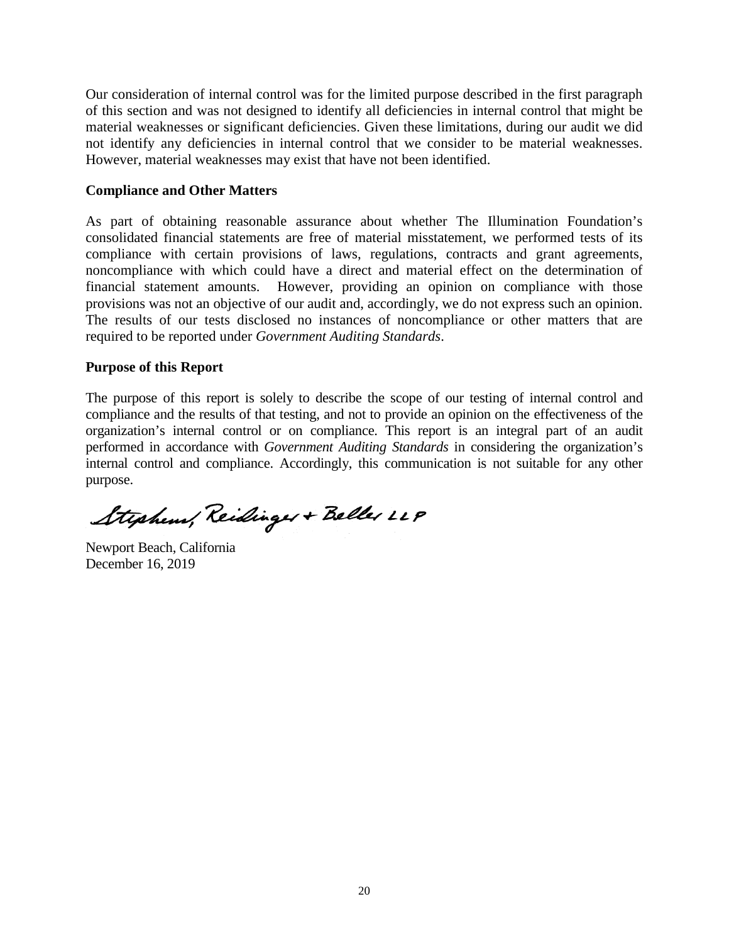Our consideration of internal control was for the limited purpose described in the first paragraph of this section and was not designed to identify all deficiencies in internal control that might be material weaknesses or significant deficiencies. Given these limitations, during our audit we did not identify any deficiencies in internal control that we consider to be material weaknesses. However, material weaknesses may exist that have not been identified.

## **Compliance and Other Matters**

As part of obtaining reasonable assurance about whether The Illumination Foundation's consolidated financial statements are free of material misstatement, we performed tests of its compliance with certain provisions of laws, regulations, contracts and grant agreements, noncompliance with which could have a direct and material effect on the determination of financial statement amounts. However, providing an opinion on compliance with those provisions was not an objective of our audit and, accordingly, we do not express such an opinion. The results of our tests disclosed no instances of noncompliance or other matters that are required to be reported under *Government Auditing Standards*.

## **Purpose of this Report**

The purpose of this report is solely to describe the scope of our testing of internal control and compliance and the results of that testing, and not to provide an opinion on the effectiveness of the organization's internal control or on compliance. This report is an integral part of an audit performed in accordance with *Government Auditing Standards* in considering the organization's internal control and compliance. Accordingly, this communication is not suitable for any other purpose.

Stephens, Reidinger + Beller LLP

Newport Beach, California December 16, 2019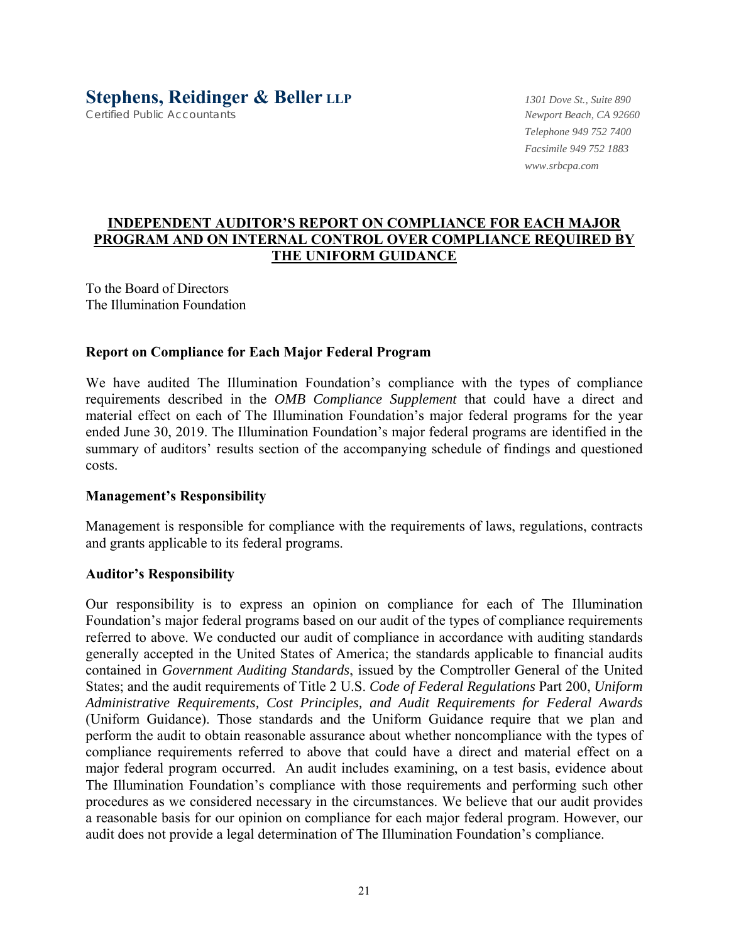Certified Public Accountants *Newport Beach, CA 92660*

*Telephone 949 752 7400 Facsimile 949 752 1883 www.srbcpa.com* 

## **INDEPENDENT AUDITOR'S REPORT ON COMPLIANCE FOR EACH MAJOR PROGRAM AND ON INTERNAL CONTROL OVER COMPLIANCE REQUIRED BY THE UNIFORM GUIDANCE**

To the Board of Directors The Illumination Foundation

## **Report on Compliance for Each Major Federal Program**

We have audited The Illumination Foundation's compliance with the types of compliance requirements described in the *OMB Compliance Supplement* that could have a direct and material effect on each of The Illumination Foundation's major federal programs for the year ended June 30, 2019. The Illumination Foundation's major federal programs are identified in the summary of auditors' results section of the accompanying schedule of findings and questioned costs.

## **Management's Responsibility**

Management is responsible for compliance with the requirements of laws, regulations, contracts and grants applicable to its federal programs.

## **Auditor's Responsibility**

Our responsibility is to express an opinion on compliance for each of The Illumination Foundation's major federal programs based on our audit of the types of compliance requirements referred to above. We conducted our audit of compliance in accordance with auditing standards generally accepted in the United States of America; the standards applicable to financial audits contained in *Government Auditing Standards*, issued by the Comptroller General of the United States; and the audit requirements of Title 2 U.S. *Code of Federal Regulations* Part 200, *Uniform Administrative Requirements, Cost Principles, and Audit Requirements for Federal Awards* (Uniform Guidance). Those standards and the Uniform Guidance require that we plan and perform the audit to obtain reasonable assurance about whether noncompliance with the types of compliance requirements referred to above that could have a direct and material effect on a major federal program occurred. An audit includes examining, on a test basis, evidence about The Illumination Foundation's compliance with those requirements and performing such other procedures as we considered necessary in the circumstances. We believe that our audit provides a reasonable basis for our opinion on compliance for each major federal program. However, our audit does not provide a legal determination of The Illumination Foundation's compliance.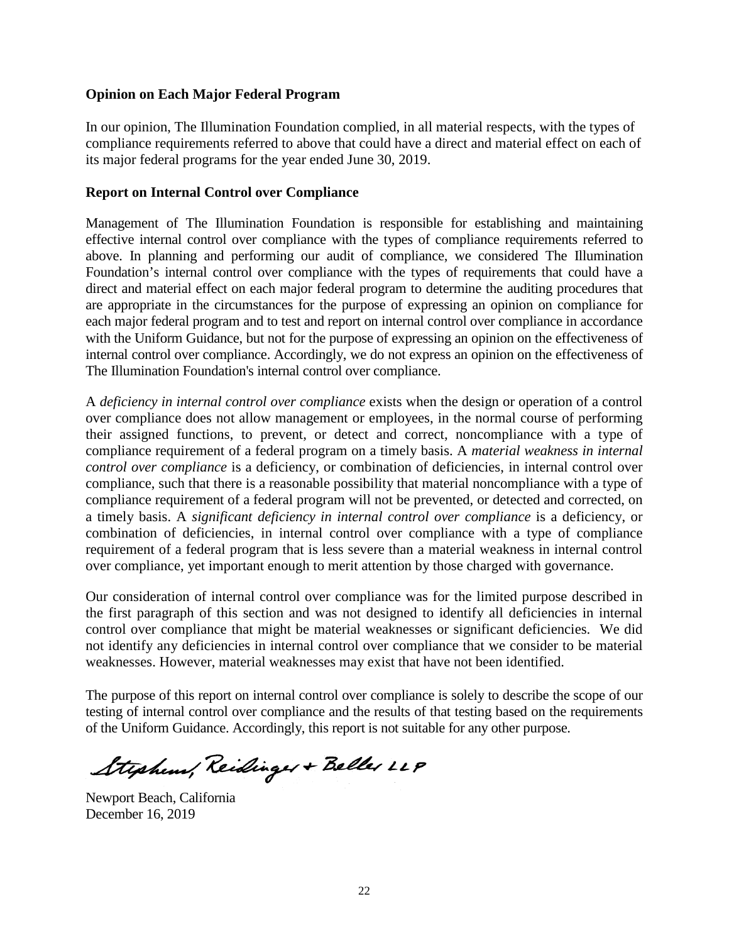## **Opinion on Each Major Federal Program**

In our opinion, The Illumination Foundation complied, in all material respects, with the types of compliance requirements referred to above that could have a direct and material effect on each of its major federal programs for the year ended June 30, 2019.

## **Report on Internal Control over Compliance**

Management of The Illumination Foundation is responsible for establishing and maintaining effective internal control over compliance with the types of compliance requirements referred to above. In planning and performing our audit of compliance, we considered The Illumination Foundation's internal control over compliance with the types of requirements that could have a direct and material effect on each major federal program to determine the auditing procedures that are appropriate in the circumstances for the purpose of expressing an opinion on compliance for each major federal program and to test and report on internal control over compliance in accordance with the Uniform Guidance, but not for the purpose of expressing an opinion on the effectiveness of internal control over compliance. Accordingly, we do not express an opinion on the effectiveness of The Illumination Foundation's internal control over compliance.

A *deficiency in internal control over compliance* exists when the design or operation of a control over compliance does not allow management or employees, in the normal course of performing their assigned functions, to prevent, or detect and correct, noncompliance with a type of compliance requirement of a federal program on a timely basis. A *material weakness in internal control over compliance* is a deficiency, or combination of deficiencies, in internal control over compliance, such that there is a reasonable possibility that material noncompliance with a type of compliance requirement of a federal program will not be prevented, or detected and corrected, on a timely basis. A *significant deficiency in internal control over compliance* is a deficiency, or combination of deficiencies, in internal control over compliance with a type of compliance requirement of a federal program that is less severe than a material weakness in internal control over compliance, yet important enough to merit attention by those charged with governance.

Our consideration of internal control over compliance was for the limited purpose described in the first paragraph of this section and was not designed to identify all deficiencies in internal control over compliance that might be material weaknesses or significant deficiencies. We did not identify any deficiencies in internal control over compliance that we consider to be material weaknesses. However, material weaknesses may exist that have not been identified.

The purpose of this report on internal control over compliance is solely to describe the scope of our testing of internal control over compliance and the results of that testing based on the requirements of the Uniform Guidance. Accordingly, this report is not suitable for any other purpose.

Stephen, Reidinger + Beller LLP

Newport Beach, California December 16, 2019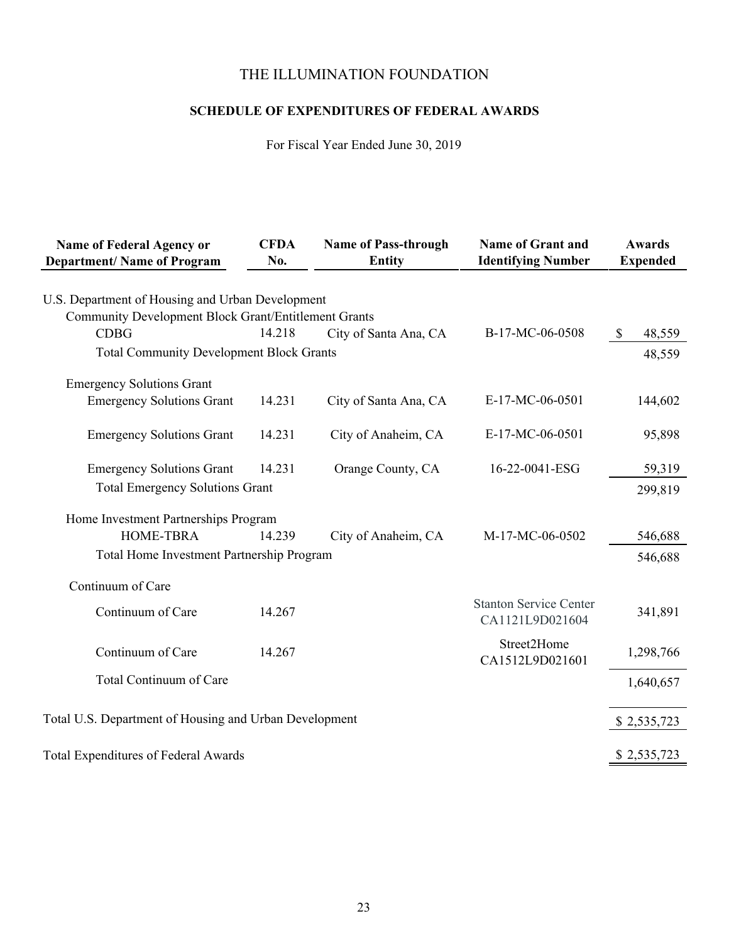# **SCHEDULE OF EXPENDITURES OF FEDERAL AWARDS**

For Fiscal Year Ended June 30, 2019

| <b>Name of Federal Agency or</b>                       | <b>CFDA</b> | <b>Name of Pass-through</b> | <b>Name of Grant and</b>                         | <b>Awards</b>          |
|--------------------------------------------------------|-------------|-----------------------------|--------------------------------------------------|------------------------|
| <b>Department/ Name of Program</b>                     | No.         | <b>Entity</b>               | <b>Identifying Number</b>                        | <b>Expended</b>        |
|                                                        |             |                             |                                                  |                        |
| U.S. Department of Housing and Urban Development       |             |                             |                                                  |                        |
| Community Development Block Grant/Entitlement Grants   |             |                             |                                                  |                        |
| <b>CDBG</b>                                            | 14.218      | City of Santa Ana, CA       | B-17-MC-06-0508                                  | 48,559<br>$\mathbb{S}$ |
| <b>Total Community Development Block Grants</b>        |             |                             |                                                  | 48,559                 |
| <b>Emergency Solutions Grant</b>                       |             |                             |                                                  |                        |
| <b>Emergency Solutions Grant</b>                       | 14.231      | City of Santa Ana, CA       | E-17-MC-06-0501                                  | 144,602                |
|                                                        |             |                             |                                                  |                        |
| <b>Emergency Solutions Grant</b>                       | 14.231      | City of Anaheim, CA         | E-17-MC-06-0501                                  | 95,898                 |
| <b>Emergency Solutions Grant</b>                       | 14.231      | Orange County, CA           | 16-22-0041-ESG                                   | 59,319                 |
| <b>Total Emergency Solutions Grant</b>                 |             |                             |                                                  | 299,819                |
|                                                        |             |                             |                                                  |                        |
| Home Investment Partnerships Program                   |             |                             |                                                  |                        |
| <b>HOME-TBRA</b>                                       | 14.239      | City of Anaheim, CA         | M-17-MC-06-0502                                  | 546,688                |
| Total Home Investment Partnership Program              |             |                             |                                                  | 546,688                |
| Continuum of Care                                      |             |                             |                                                  |                        |
| Continuum of Care                                      |             |                             | <b>Stanton Service Center</b><br>CA1121L9D021604 |                        |
|                                                        | 14.267      |                             |                                                  | 341,891                |
| Continuum of Care                                      | 14.267      |                             | Street2Home                                      | 1,298,766              |
|                                                        |             |                             | CA1512L9D021601                                  |                        |
| Total Continuum of Care                                |             |                             |                                                  | 1,640,657              |
|                                                        |             |                             |                                                  |                        |
| Total U.S. Department of Housing and Urban Development |             |                             |                                                  | \$2,535,723            |
|                                                        |             |                             |                                                  |                        |
| Total Expenditures of Federal Awards                   |             |                             |                                                  | \$2,535,723            |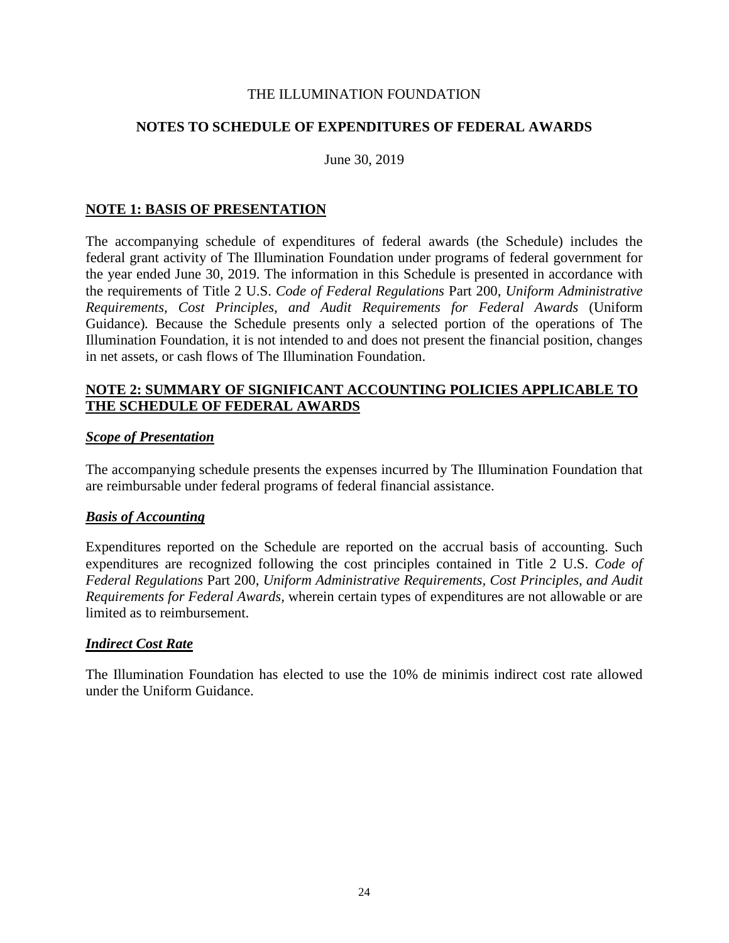## **NOTES TO SCHEDULE OF EXPENDITURES OF FEDERAL AWARDS**

June 30, 2019

## **NOTE 1: BASIS OF PRESENTATION**

The accompanying schedule of expenditures of federal awards (the Schedule) includes the federal grant activity of The Illumination Foundation under programs of federal government for the year ended June 30, 2019. The information in this Schedule is presented in accordance with the requirements of Title 2 U.S. *Code of Federal Regulations* Part 200, *Uniform Administrative Requirements, Cost Principles, and Audit Requirements for Federal Awards* (Uniform Guidance)*.* Because the Schedule presents only a selected portion of the operations of The Illumination Foundation, it is not intended to and does not present the financial position, changes in net assets, or cash flows of The Illumination Foundation.

## **NOTE 2: SUMMARY OF SIGNIFICANT ACCOUNTING POLICIES APPLICABLE TO THE SCHEDULE OF FEDERAL AWARDS**

## *Scope of Presentation*

The accompanying schedule presents the expenses incurred by The Illumination Foundation that are reimbursable under federal programs of federal financial assistance.

## *Basis of Accounting*

Expenditures reported on the Schedule are reported on the accrual basis of accounting. Such expenditures are recognized following the cost principles contained in Title 2 U.S. *Code of Federal Regulations* Part 200, *Uniform Administrative Requirements, Cost Principles, and Audit Requirements for Federal Awards,* wherein certain types of expenditures are not allowable or are limited as to reimbursement.

## *Indirect Cost Rate*

The Illumination Foundation has elected to use the 10% de minimis indirect cost rate allowed under the Uniform Guidance.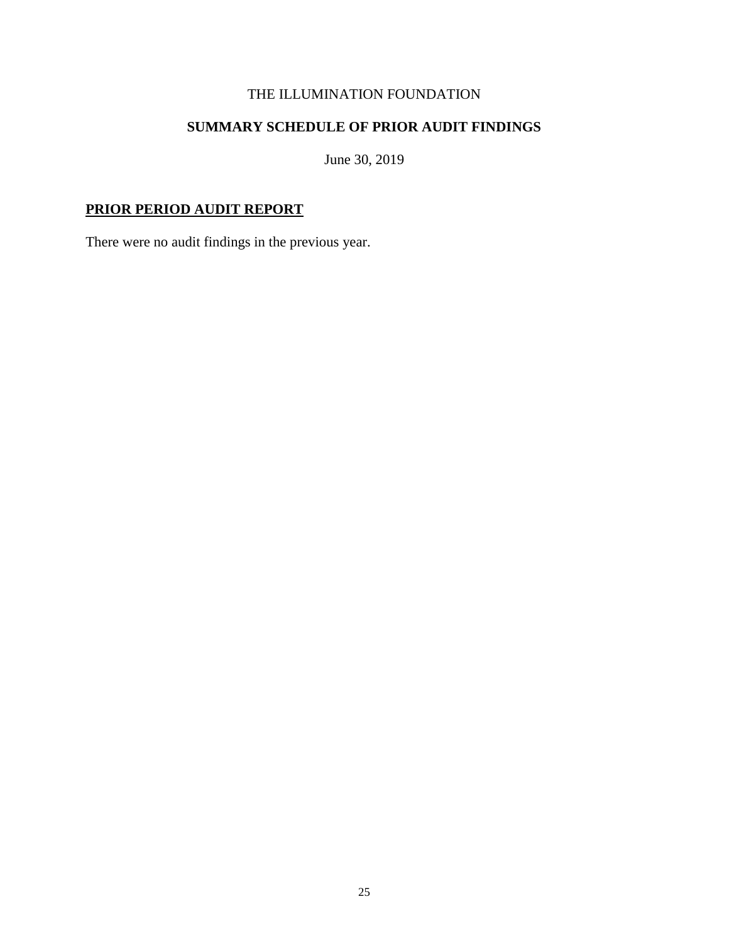# **SUMMARY SCHEDULE OF PRIOR AUDIT FINDINGS**

June 30, 2019

# **PRIOR PERIOD AUDIT REPORT**

There were no audit findings in the previous year.